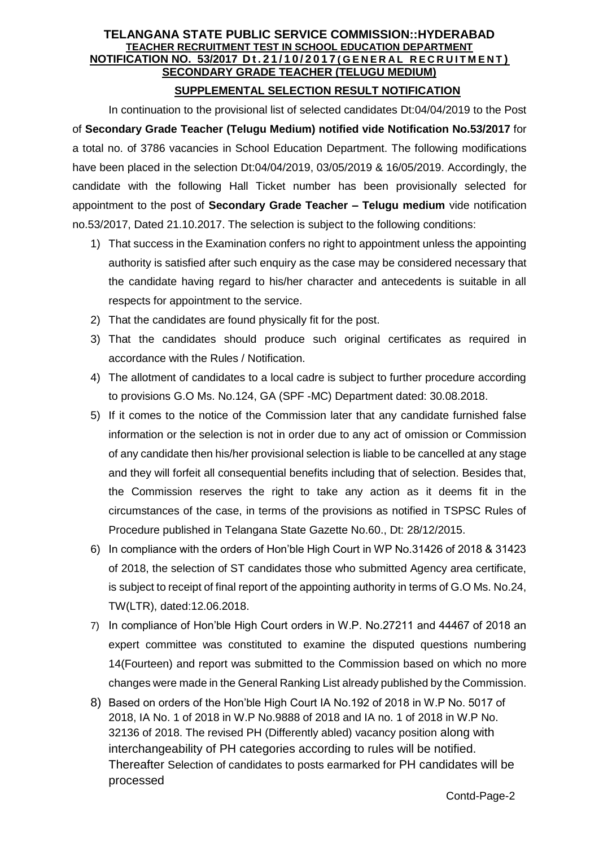# **TELANGANA STATE PUBLIC SERVICE COMMISSION::HYDERABAD TEACHER RECRUITMENT TEST IN SCHOOL EDUCATION DEPARTMENT NOTIFICATION NO. 53/2017 D t . 2 1 / 1 0 / 2 0 1 7 ( G E N E R A L R E C R U I T M E N T ) SECONDARY GRADE TEACHER (TELUGU MEDIUM)**

# **SUPPLEMENTAL SELECTION RESULT NOTIFICATION**

In continuation to the provisional list of selected candidates Dt:04/04/2019 to the Post of **Secondary Grade Teacher (Telugu Medium) notified vide Notification No.53/2017** for a total no. of 3786 vacancies in School Education Department. The following modifications have been placed in the selection Dt:04/04/2019, 03/05/2019 & 16/05/2019. Accordingly, the candidate with the following Hall Ticket number has been provisionally selected for appointment to the post of **Secondary Grade Teacher – Telugu medium** vide notification no.53/2017, Dated 21.10.2017. The selection is subject to the following conditions:

- 1) That success in the Examination confers no right to appointment unless the appointing authority is satisfied after such enquiry as the case may be considered necessary that the candidate having regard to his/her character and antecedents is suitable in all respects for appointment to the service.
- 2) That the candidates are found physically fit for the post.
- 3) That the candidates should produce such original certificates as required in accordance with the Rules / Notification.
- 4) The allotment of candidates to a local cadre is subject to further procedure according to provisions G.O Ms. No.124, GA (SPF -MC) Department dated: 30.08.2018.
- 5) If it comes to the notice of the Commission later that any candidate furnished false information or the selection is not in order due to any act of omission or Commission of any candidate then his/her provisional selection is liable to be cancelled at any stage and they will forfeit all consequential benefits including that of selection. Besides that, the Commission reserves the right to take any action as it deems fit in the circumstances of the case, in terms of the provisions as notified in TSPSC Rules of Procedure published in Telangana State Gazette No.60., Dt: 28/12/2015.
- 6) In compliance with the orders of Hon'ble High Court in WP No.31426 of 2018 & 31423 of 2018, the selection of ST candidates those who submitted Agency area certificate, is subject to receipt of final report of the appointing authority in terms of G.O Ms. No.24, TW(LTR), dated:12.06.2018.
- 7) In compliance of Hon'ble High Court orders in W.P. No.27211 and 44467 of 2018 an expert committee was constituted to examine the disputed questions numbering 14(Fourteen) and report was submitted to the Commission based on which no more changes were made in the General Ranking List already published by the Commission.
- 8) Based on orders of the Hon'ble High Court IA No.192 of 2018 in W.P No. 5017 of 2018, IA No. 1 of 2018 in W.P No.9888 of 2018 and IA no. 1 of 2018 in W.P No. 32136 of 2018. The revised PH (Differently abled) vacancy position along with interchangeability of PH categories according to rules will be notified. Thereafter Selection of candidates to posts earmarked for PH candidates will be processed